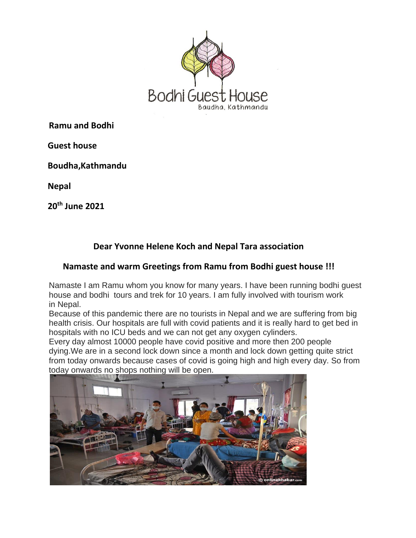

**Ramu and Bodhi**

 **Guest house**

 **Boudha,Kathmandu**

 **Nepal**

 **20 th June 2021**

## **Dear Yvonne Helene Koch and Nepal Tara association**

## **Namaste and warm Greetings from Ramu from Bodhi guest house !!!**

Namaste I am Ramu whom you know for many years. I have been running bodhi guest house and bodhi tours and trek for 10 years. I am fully involved with tourism work in Nepal.

Because of this pandemic there are no tourists in Nepal and we are suffering from big health crisis. Our hospitals are full with covid patients and it is really hard to get bed in hospitals with no ICU beds and we can not get any oxygen cylinders.

Every day almost 10000 people have covid positive and more then 200 people dying.We are in a second lock down since a month and lock down getting quite strict from today onwards because cases of covid is going high and high every day. So from today onwards no shops nothing will be open.

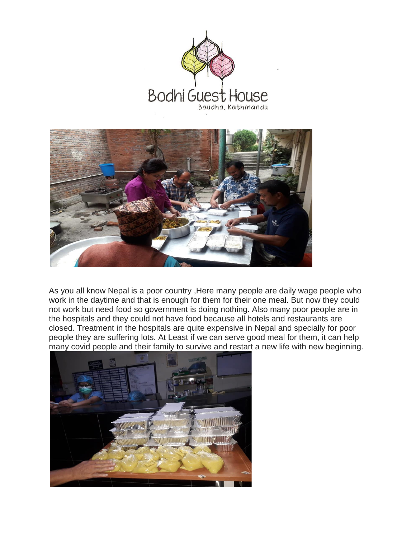



As you all know Nepal is a poor country ,Here many people are daily wage people who work in the daytime and that is enough for them for their one meal. But now they could not work but need food so government is doing nothing. Also many poor people are in the hospitals and they could not have food because all hotels and restaurants are closed. Treatment in the hospitals are quite expensive in Nepal and specially for poor people they are suffering lots. At Least if we can serve good meal for them, it can help many covid people and their family to survive and restart a new life with new beginning.

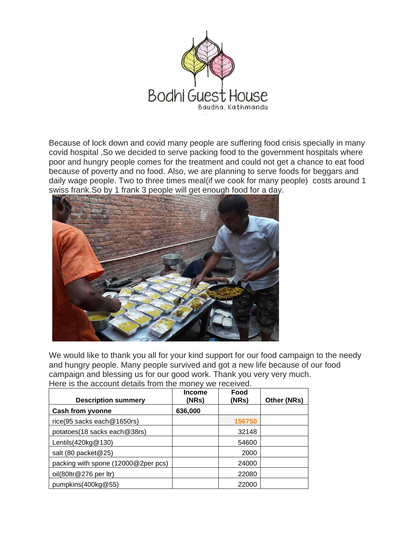

Because of lock down and covid many people are suffering food crisis specially in many covid hospital ,So we decided to serve packing food to the government hospitals where poor and hungry people comes for the treatment and could not get a chance to eat food because of poverty and no food. Also, we are planning to serve foods for beggars and daily wage people. Two to three times meal(if we cook for many people) costs around 1 swiss frank.So by 1 frank 3 people will get enough food for a day.



We would like to thank you all for your kind support for our food campaign to the needy and hungry people. Many people survived and got a new life because of our food campaign and blessing us for our good work. Thank you very very much. Here is the account details from the money we received.

| <b>Description summery</b>          | <b>Income</b><br>(NRs) | Food<br>(NRs) | Other (NRs) |
|-------------------------------------|------------------------|---------------|-------------|
| Cash from yvonne                    | 636,000                |               |             |
| rice(95 sacks each@1650rs)          |                        | 156750        |             |
| potatoes(18 sacks each@38rs)        |                        | 32148         |             |
| Lentils $(420kg@130)$               |                        | 54600         |             |
| salt (80 packet@25)                 |                        | 2000          |             |
| packing with spone (12000@2per pcs) |                        | 24000         |             |
| oil(80ltr@276 per ltr)              |                        | 22080         |             |
| pumpkins $(400kg@55)$               |                        | 22000         |             |